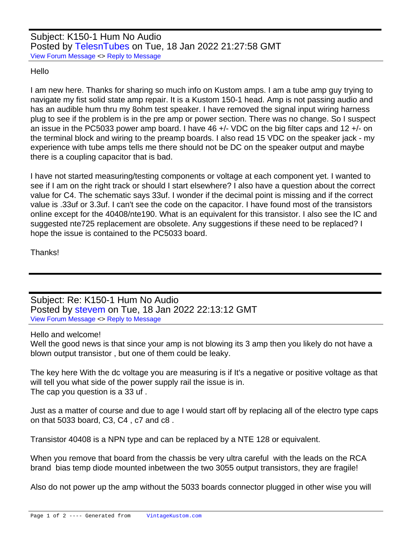## Subject: K150-1 Hum No Audio Posted by [TelesnTubes](http://www.vintagekustom.com/FUDforum/index.php?t=usrinfo&id=17998) on Tue, 18 Jan 2022 21:27:58 GMT [View Forum Message](http://www.vintagekustom.com/FUDforum/index.php?t=rview&th=4922&goto=28414#msg_28414) <> [Reply to Message](http://www.vintagekustom.com/FUDforum/index.php?t=post&reply_to=28414)

## Hello

I am new here. Thanks for sharing so much info on Kustom amps. I am a tube amp guy trying to navigate my fist solid state amp repair. It is a Kustom 150-1 head. Amp is not passing audio and has an audible hum thru my 8ohm test speaker. I have removed the signal input wiring harness plug to see if the problem is in the pre amp or power section. There was no change. So I suspect an issue in the PC5033 power amp board. I have 46 +/- VDC on the big filter caps and 12 +/- on the terminal block and wiring to the preamp boards. I also read 15 VDC on the speaker jack - my experience with tube amps tells me there should not be DC on the speaker output and maybe there is a coupling capacitor that is bad.

I have not started measuring/testing components or voltage at each component yet. I wanted to see if I am on the right track or should I start elsewhere? I also have a question about the correct value for C4. The schematic says 33uf. I wonder if the decimal point is missing and if the correct value is .33uf or 3.3uf. I can't see the code on the capacitor. I have found most of the transistors online except for the 40408/nte190. What is an equivalent for this transistor. I also see the IC and suggested nte725 replacement are obsolete. Any suggestions if these need to be replaced? I hope the issue is contained to the PC5033 board.

Thanks!

Subject: Re: K150-1 Hum No Audio Posted by [stevem](http://www.vintagekustom.com/FUDforum/index.php?t=usrinfo&id=212) on Tue, 18 Jan 2022 22:13:12 GMT [View Forum Message](http://www.vintagekustom.com/FUDforum/index.php?t=rview&th=4922&goto=28415#msg_28415) <> [Reply to Message](http://www.vintagekustom.com/FUDforum/index.php?t=post&reply_to=28415)

Hello and welcome!

Well the good news is that since your amp is not blowing its 3 amp then you likely do not have a blown output transistor , but one of them could be leaky.

The key here With the dc voltage you are measuring is if It's a negative or positive voltage as that will tell you what side of the power supply rail the issue is in. The cap you question is a 33 uf .

Just as a matter of course and due to age I would start off by replacing all of the electro type caps on that 5033 board, C3, C4 , c7 and c8 .

Transistor 40408 is a NPN type and can be replaced by a NTE 128 or equivalent.

When you remove that board from the chassis be very ultra careful with the leads on the RCA brand bias temp diode mounted inbetween the two 3055 output transistors, they are fragile!

Also do not power up the amp without the 5033 boards connector plugged in other wise you will